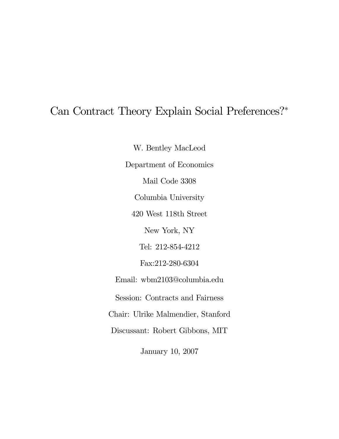# Can Contract Theory Explain Social Preferences?<sup>∗</sup>

W. Bentley MacLeod Department of Economics Mail Code 3308 Columbia University 420 West 118th Street New York, NY Tel: 212-854-4212 Fax:212-280-6304 Email: wbm2103@columbia.edu Session: Contracts and Fairness Chair: Ulrike Malmendier, Stanford Discussant: Robert Gibbons, MIT January 10, 2007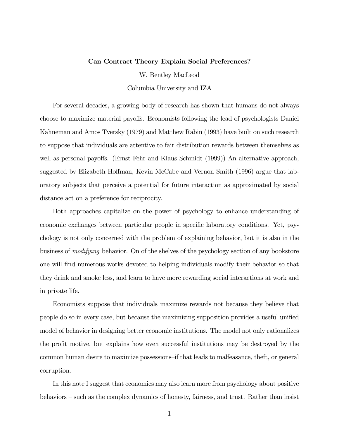#### Can Contract Theory Explain Social Preferences?

W. Bentley MacLeod

Columbia University and IZA

For several decades, a growing body of research has shown that humans do not always choose to maximize material payoffs. Economists following the lead of psychologists Daniel Kahneman and Amos Tversky (1979) and Matthew Rabin (1993) have built on such research to suppose that individuals are attentive to fair distribution rewards between themselves as well as personal payoffs. (Ernst Fehr and Klaus Schmidt (1999)) An alternative approach, suggested by Elizabeth Hoffman, Kevin McCabe and Vernon Smith (1996) argue that laboratory subjects that perceive a potential for future interaction as approximated by social distance act on a preference for reciprocity.

Both approaches capitalize on the power of psychology to enhance understanding of economic exchanges between particular people in specific laboratory conditions. Yet, psychology is not only concerned with the problem of explaining behavior, but it is also in the business of modifying behavior. On of the shelves of the psychology section of any bookstore one will find numerous works devoted to helping individuals modify their behavior so that they drink and smoke less, and learn to have more rewarding social interactions at work and in private life.

Economists suppose that individuals maximize rewards not because they believe that people do so in every case, but because the maximizing supposition provides a useful unified model of behavior in designing better economic institutions. The model not only rationalizes the profit motive, but explains how even successful institutions may be destroyed by the common human desire to maximize possessions—if that leads to malfeasance, theft, or general corruption.

In this note I suggest that economics may also learn more from psychology about positive behaviors — such as the complex dynamics of honesty, fairness, and trust. Rather than insist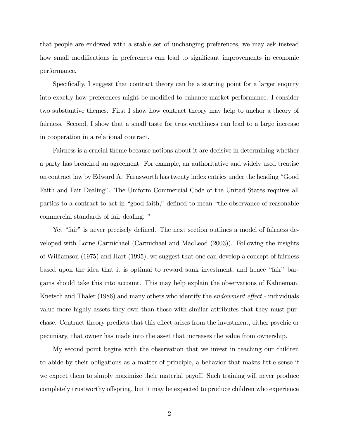that people are endowed with a stable set of unchanging preferences, we may ask instead how small modifications in preferences can lead to significant improvements in economic performance.

Specifically, I suggest that contract theory can be a starting point for a larger enquiry into exactly how preferences might be modified to enhance market performance. I consider two substantive themes. First I show how contract theory may help to anchor a theory of fairness. Second, I show that a small taste for trustworthiness can lead to a large increase in cooperation in a relational contract.

Fairness is a crucial theme because notions about it are decisive in determining whether a party has breached an agreement. For example, an authoritative and widely used treatise on contract law by Edward A. Farnsworth has twenty index entries under the heading "Good Faith and Fair Dealing". The Uniform Commercial Code of the United States requires all parties to a contract to act in "good faith," defined to mean "the observance of reasonable commercial standards of fair dealing. "

Yet "fair" is never precisely defined. The next section outlines a model of fairness developed with Lorne Carmichael (Carmichael and MacLeod (2003)). Following the insights of Williamson (1975) and Hart (1995), we suggest that one can develop a concept of fairness based upon the idea that it is optimal to reward sunk investment, and hence "fair" bargains should take this into account. This may help explain the observations of Kahneman, Knetsch and Thaler (1986) and many others who identify the *endowment effect* - individuals value more highly assets they own than those with similar attributes that they must purchase. Contract theory predicts that this effect arises from the investment, either psychic or pecuniary, that owner has made into the asset that increases the value from ownership.

My second point begins with the observation that we invest in teaching our children to abide by their obligations as a matter of principle, a behavior that makes little sense if we expect them to simply maximize their material payoff. Such training will never produce completely trustworthy offspring, but it may be expected to produce children who experience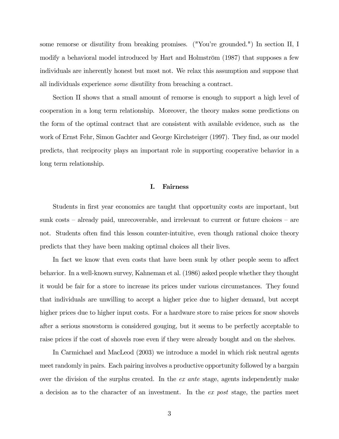some remorse or disutility from breaking promises. ("You're grounded.") In section II, I modify a behavioral model introduced by Hart and Holmström (1987) that supposes a few individuals are inherently honest but most not. We relax this assumption and suppose that all individuals experience some disutility from breaching a contract.

Section II shows that a small amount of remorse is enough to support a high level of cooperation in a long term relationship. Moreover, the theory makes some predictions on the form of the optimal contract that are consistent with available evidence, such as the work of Ernst Fehr, Simon Gachter and George Kirchsteiger (1997). They find, as our model predicts, that reciprocity plays an important role in supporting cooperative behavior in a long term relationship.

## I. Fairness

Students in first year economics are taught that opportunity costs are important, but sunk costs — already paid, unrecoverable, and irrelevant to current or future choices — are not. Students often find this lesson counter-intuitive, even though rational choice theory predicts that they have been making optimal choices all their lives.

In fact we know that even costs that have been sunk by other people seem to affect behavior. In a well-known survey, Kahneman et al. (1986) asked people whether they thought it would be fair for a store to increase its prices under various circumstances. They found that individuals are unwilling to accept a higher price due to higher demand, but accept higher prices due to higher input costs. For a hardware store to raise prices for snow shovels after a serious snowstorm is considered gouging, but it seems to be perfectly acceptable to raise prices if the cost of shovels rose even if they were already bought and on the shelves.

In Carmichael and MacLeod (2003) we introduce a model in which risk neutral agents meet randomly in pairs. Each pairing involves a productive opportunity followed by a bargain over the division of the surplus created. In the ex ante stage, agents independently make a decision as to the character of an investment. In the ex post stage, the parties meet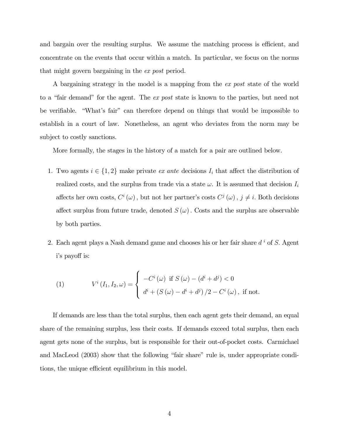and bargain over the resulting surplus. We assume the matching process is efficient, and concentrate on the events that occur within a match. In particular, we focus on the norms that might govern bargaining in the ex post period.

A bargaining strategy in the model is a mapping from the ex post state of the world to a "fair demand" for the agent. The ex post state is known to the parties, but need not be verifiable. "What's fair" can therefore depend on things that would be impossible to establish in a court of law. Nonetheless, an agent who deviates from the norm may be subject to costly sanctions.

More formally, the stages in the history of a match for a pair are outlined below.

- 1. Two agents  $i \in \{1,2\}$  make private *ex ante* decisions  $I_i$  that affect the distribution of realized costs, and the surplus from trade via a state  $\omega$ . It is assumed that decision  $I_i$ affects her own costs,  $C^i(\omega)$ , but not her partner's costs  $C^j(\omega)$ ,  $j \neq i$ . Both decisions affect surplus from future trade, denoted  $S(\omega)$ . Costs and the surplus are observable by both parties.
- 2. Each agent plays a Nash demand game and chooses his or her fair share  $d^i$  of S. Agent i's payoff is:

(1) 
$$
V^{i}(I_{1}, I_{2}, \omega) = \begin{cases} -C^{i}(\omega) & \text{if } S(\omega) - (d^{i} + d^{j}) < 0 \\ d^{i} + (S(\omega) - d^{i} + d^{j})/2 - C^{i}(\omega), & \text{if not.} \end{cases}
$$

If demands are less than the total surplus, then each agent gets their demand, an equal share of the remaining surplus, less their costs. If demands exceed total surplus, then each agent gets none of the surplus, but is responsible for their out-of-pocket costs. Carmichael and MacLeod (2003) show that the following "fair share" rule is, under appropriate conditions, the unique efficient equilibrium in this model.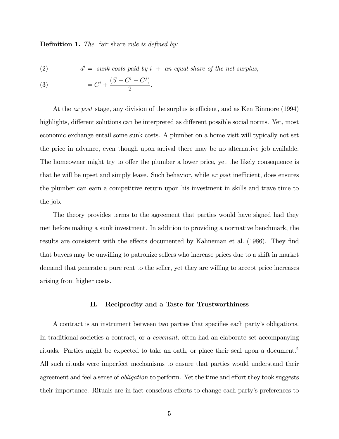**Definition 1.** The fair share rule is defined by:

(2)  $d^i = \text{ sunk costs paid by } i + \text{ an equal share of the net surplus,}$ 

(3) 
$$
= C^{i} + \frac{(S - C^{i} - C^{j})}{2}.
$$

At the ex post stage, any division of the surplus is efficient, and as Ken Binmore (1994) highlights, different solutions can be interpreted as different possible social norms. Yet, most economic exchange entail some sunk costs. A plumber on a home visit will typically not set the price in advance, even though upon arrival there may be no alternative job available. The homeowner might try to offer the plumber a lower price, yet the likely consequence is that he will be upset and simply leave. Such behavior, while  $ex$  post inefficient, does ensures the plumber can earn a competitive return upon his investment in skills and trave time to the job.

The theory provides terms to the agreement that parties would have signed had they met before making a sunk investment. In addition to providing a normative benchmark, the results are consistent with the effects documented by Kahneman et al. (1986). They find that buyers may be unwilling to patronize sellers who increase prices due to a shift in market demand that generate a pure rent to the seller, yet they are willing to accept price increases arising from higher costs.

#### II. Reciprocity and a Taste for Trustworthiness

A contract is an instrument between two parties that specifies each party's obligations. In traditional societies a contract, or a covenant, often had an elaborate set accompanying rituals. Parties might be expected to take an oath, or place their seal upon a document.2 All such rituals were imperfect mechanisms to ensure that parties would understand their agreement and feel a sense of *obligation* to perform. Yet the time and effort they took suggests their importance. Rituals are in fact conscious efforts to change each party's preferences to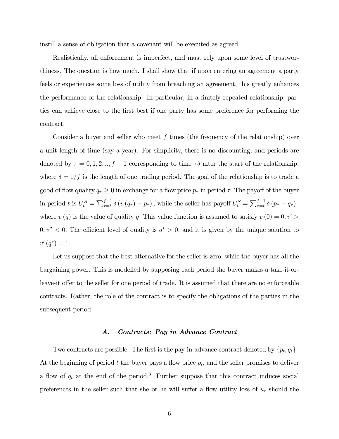instill a sense of obligation that a covenant will be executed as agreed.

Realistically, all enforcement is imperfect, and must rely upon some level of trustworthiness. The question is how much. I shall show that if upon entering an agreement a party feels or experiences some loss of utility from breaching an agreement, this greatly enhances the performance of the relationship. In particular, in a finitely repeated relationship, parties can achieve close to the first best if one party has some preference for performing the contract.

Consider a buyer and seller who meet f times (the frequency of the relationship) over a unit length of time (say a year). For simplicity, there is no discounting, and periods are denoted by  $\tau = 0, 1, 2, ..., f - 1$  corresponding to time  $\tau \delta$  after the start of the relationship, where  $\delta = 1/f$  is the length of one trading period. The goal of the relationship is to trade a good of flow quality  $q_{\tau} \geq 0$  in exchange for a flow price  $p_{\tau}$  in period  $\tau$ . The payoff of the buyer in period t is  $U_t^B = \sum_{\tau=t}^{f-1} \delta(v(q_\tau) - p_\tau)$ , while the seller has payoff  $U_t^S = \sum_{\tau=t}^{f-1} \delta(p_\tau - q_\tau)$ , where  $v(q)$  is the value of quality q. This value function is assumed to satisfy  $v(0) = 0, v' > 0$  $0, v'' < 0$ . The efficient level of quality is  $q^* > 0$ , and it is given by the unique solution to  $v'(q^*)=1.$ 

Let us suppose that the best alternative for the seller is zero, while the buyer has all the bargaining power. This is modelled by supposing each period the buyer makes a take-it-orleave-it offer to the seller for one period of trade. It is assumed that there are no enforceable contracts. Rather, the role of the contract is to specify the obligations of the parties in the subsequent period.

#### A. Contracts: Pay in Advance Contract

Two contracts are possible. The first is the pay-in-advance contract denoted by  $\{p_t, q_t\}$ . At the beginning of period t the buyer pays a flow price  $p_t$ , and the seller promises to deliver a flow of  $q_t$  at the end of the period.<sup>3</sup> Further suppose that this contract induces social preferences in the seller such that she or he will suffer a flow utility loss of  $u_c$  should the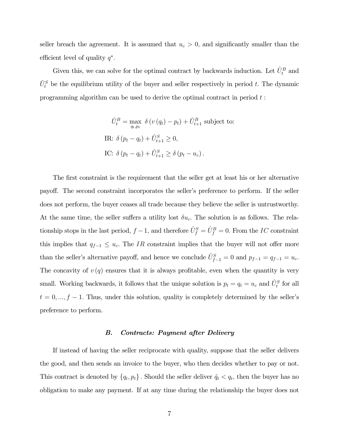seller breach the agreement. It is assumed that  $u_c > 0$ , and significantly smaller than the efficient level of quality  $q^*$ .

Given this, we can solve for the optimal contract by backwards induction. Let  $\hat{U}_t^B$  and  $\hat{U}_{t}^{S}$  be the equilibrium utility of the buyer and seller respectively in period t. The dynamic programming algorithm can be used to derive the optimal contract in period  $t$ :

$$
\hat{U}_t^B = \max_{q_t, p_t} \delta(v(q_t) - p_t) + \hat{U}_{t+1}^B \text{ subject to:}
$$
  
IR:  $\delta(p_t - q_t) + \hat{U}_{t+1}^S \ge 0$ ,  
IC:  $\delta(p_t - q_t) + \hat{U}_{t+1}^S \ge \delta(p_t - u_c)$ .

The first constraint is the requirement that the seller get at least his or her alternative payoff. The second constraint incorporates the seller's preference to perform. If the seller does not perform, the buyer ceases all trade because they believe the seller is untrustworthy. At the same time, the seller suffers a utility lost  $\delta u_c$ . The solution is as follows. The relationship stops in the last period,  $f - 1$ , and therefore  $\hat{U}_f^S = \hat{U}_f^B = 0$ . From the IC constraint this implies that  $q_{f-1} \leq u_c$ . The IR constraint implies that the buyer will not offer more than the seller's alternative payoff, and hence we conclude  $\hat{U}_{f-1}^S = 0$  and  $p_{f-1} = q_{f-1} = u_c$ . The concavity of  $v(q)$  ensures that it is always profitable, even when the quantity is very small. Working backwards, it follows that the unique solution is  $p_t = q_t = u_c$  and  $\hat{U}_t^S$  for all  $t = 0, ..., f - 1$ . Thus, under this solution, quality is completely determined by the seller's preference to perform.

#### B. Contracts: Payment after Delivery

If instead of having the seller reciprocate with quality, suppose that the seller delivers the good, and then sends an invoice to the buyer, who then decides whether to pay or not. This contract is denoted by  $\{q_t, p_t\}$ . Should the seller deliver  $\hat{q}_t < q_t$ , then the buyer has no obligation to make any payment. If at any time during the relationship the buyer does not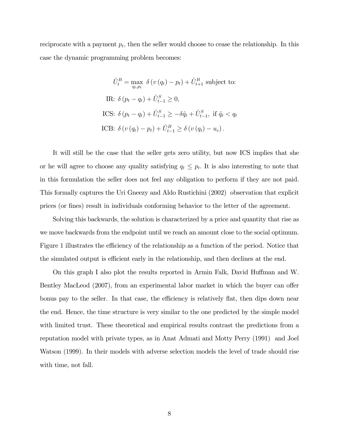reciprocate with a payment  $p_t$ , then the seller would choose to cease the relationship. In this case the dynamic programming problem becomes:

$$
\hat{U}_t^B = \max_{q_t, p_t} \delta(v(q_t) - p_t) + \hat{U}_{t+1}^B \text{ subject to:}
$$
  
\nIR: 
$$
\delta(p_t - q_t) + \hat{U}_{t-1}^S \ge 0,
$$
  
\nICS: 
$$
\delta(p_t - q_t) + \hat{U}_{t-1}^S \ge -\delta \hat{q}_t + \hat{U}_{t-1}^S, \text{ if } \hat{q}_t < q_t
$$
  
\nICB: 
$$
\delta(v(q_t) - p_t) + \hat{U}_{t-1}^B \ge \delta(v(q_t) - u_c).
$$

It will still be the case that the seller gets zero utility, but now ICS implies that she or he will agree to choose any quality satisfying  $q_t \leq p_t$ . It is also interesting to note that in this formulation the seller does not feel any obligation to perform if they are not paid. This formally captures the Uri Gneezy and Aldo Rustichini (2002) observation that explicit prices (or fines) result in individuals conforming behavior to the letter of the agreement.

Solving this backwards, the solution is characterized by a price and quantity that rise as we move backwards from the endpoint until we reach an amount close to the social optimum. Figure 1 illustrates the efficiency of the relationship as a function of the period. Notice that the simulated output is efficient early in the relationship, and then declines at the end.

On this graph I also plot the results reported in Armin Falk, David Huffman and W. Bentley MacLeod (2007), from an experimental labor market in which the buyer can offer bonus pay to the seller. In that case, the efficiency is relatively flat, then dips down near the end. Hence, the time structure is very similar to the one predicted by the simple model with limited trust. These theoretical and empirical results contrast the predictions from a reputation model with private types, as in Anat Admati and Motty Perry (1991) and Joel Watson (1999). In their models with adverse selection models the level of trade should rise with time, not fall.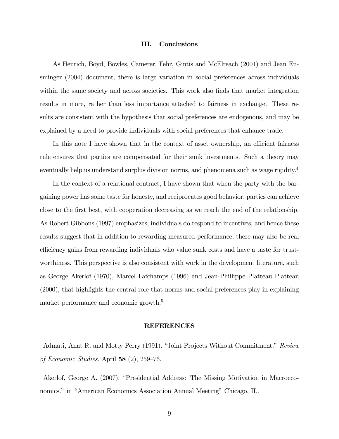#### III. Conclusions

As Henrich, Boyd, Bowles, Camerer, Fehr, Gintis and McElreach (2001) and Jean Ensminger (2004) document, there is large variation in social preferences across individuals within the same society and across societies. This work also finds that market integration results in more, rather than less importance attached to fairness in exchange. These results are consistent with the hypothesis that social preferences are endogenous, and may be explained by a need to provide individuals with social preferences that enhance trade.

In this note I have shown that in the context of asset ownership, an efficient fairness rule ensures that parties are compensated for their sunk investments. Such a theory may eventually help us understand surplus division norms, and phenomena such as wage rigidity.<sup>4</sup>

In the context of a relational contract, I have shown that when the party with the bargaining power has some taste for honesty, and reciprocates good behavior, parties can achieve close to the first best, with cooperation decreasing as we reach the end of the relationship. As Robert Gibbons (1997) emphasizes, individuals do respond to incentives, and hence these results suggest that in addition to rewarding measured performance, there may also be real efficiency gains from rewarding individuals who value sunk costs and have a taste for trustworthiness. This perspective is also consistent with work in the development literature, such as George Akerlof (1970), Marcel Fafchamps (1996) and Jean-Phillippe Platteau Platteau (2000), that highlights the central role that norms and social preferences play in explaining market performance and economic growth.<sup>5</sup>

### REFERENCES

Admati, Anat R. and Motty Perry (1991). "Joint Projects Without Commitment." Review of Economic Studies. April 58  $(2)$ , 259–76.

Akerlof, George A. (2007). "Presidential Address: The Missing Motivation in Macroeconomics." in "American Economics Association Annual Meeting" Chicago, IL.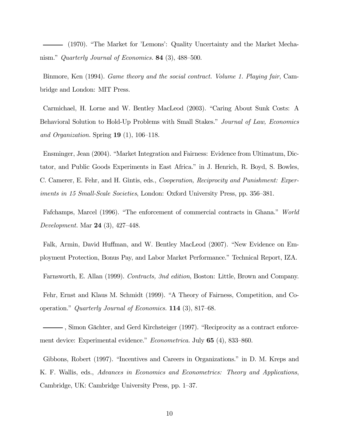(1970). "The Market for 'Lemons': Quality Uncertainty and the Market Mechanism." Quarterly Journal of Economics. 84 (3), 488—500.

Binmore, Ken (1994). Game theory and the social contract. Volume 1. Playing fair, Cambridge and London: MIT Press.

Carmichael, H. Lorne and W. Bentley MacLeod (2003). "Caring About Sunk Costs: A Behavioral Solution to Hold-Up Problems with Small Stakes." Journal of Law, Economics and Organization. Spring  $19(1)$ , 106–118.

Ensminger, Jean (2004). "Market Integration and Fairness: Evidence from Ultimatum, Dictator, and Public Goods Experiments in East Africa." in J. Henrich, R. Boyd, S. Bowles, C. Camerer, E. Fehr, and H. Gintis, eds., Cooperation, Reciprocity and Punishment: Experiments in 15 Small-Scale Societies, London: Oxford University Press, pp. 356—381.

Fafchamps, Marcel (1996). "The enforcement of commercial contracts in Ghana." World Development. Mar 24 (3), 427—448.

Falk, Armin, David Huffman, and W. Bentley MacLeod (2007). "New Evidence on Employment Protection, Bonus Pay, and Labor Market Performance." Technical Report, IZA.

Farnsworth, E. Allan (1999). Contracts, 3nd edition, Boston: Little, Brown and Company.

Fehr, Ernst and Klaus M. Schmidt (1999). "A Theory of Fairness, Competition, and Cooperation." Quarterly Journal of Economics. 114 (3), 817—68.

, Simon Gächter, and Gerd Kirchsteiger (1997). "Reciprocity as a contract enforcement device: Experimental evidence." Econometrica. July 65 (4), 833—860.

Gibbons, Robert (1997). "Incentives and Careers in Organizations." in D. M. Kreps and K. F. Wallis, eds., Advances in Economics and Econometrics: Theory and Applications, Cambridge, UK: Cambridge University Press, pp. 1—37.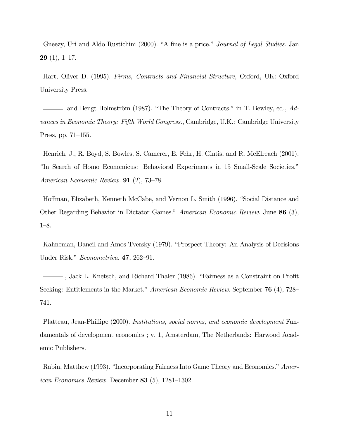Gneezy, Uri and Aldo Rustichini (2000). "A fine is a price." *Journal of Legal Studies*. Jan **29** (1), 1–17.

Hart, Oliver D. (1995). Firms, Contracts and Financial Structure, Oxford, UK: Oxford University Press.

and Bengt Holmström (1987). "The Theory of Contracts." in T. Bewley, ed., Advances in Economic Theory: Fifth World Congress., Cambridge, U.K.: Cambridge University Press, pp. 71—155.

Henrich, J., R. Boyd, S. Bowles, S. Camerer, E. Fehr, H. Gintis, and R. McElreach (2001). "In Search of Homo Economicus: Behavioral Experiments in 15 Small-Scale Societies." American Economic Review. 91 (2), 73—78.

Hoffman, Elizabeth, Kenneth McCabe, and Vernon L. Smith (1996). "Social Distance and Other Regarding Behavior in Dictator Games." American Economic Review. June 86 (3), 1—8.

Kahneman, Daneil and Amos Tversky (1979). "Prospect Theory: An Analysis of Decisions Under Risk." *Econometrica*. **47**, 262–91.

, Jack L. Knetsch, and Richard Thaler (1986). "Fairness as a Constraint on Profit Seeking: Entitlements in the Market." American Economic Review. September **76** (4), 728– 741.

Platteau, Jean-Phillipe (2000). Institutions, social norms, and economic development Fundamentals of development economics ; v. 1, Amsterdam, The Netherlands: Harwood Academic Publishers.

Rabin, Matthew (1993). "Incorporating Fairness Into Game Theory and Economics." Amer*ican Economics Review.* December 83  $(5)$ , 1281–1302.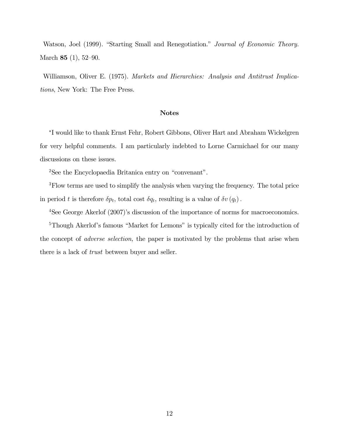Watson, Joel (1999). "Starting Small and Renegotiation." Journal of Economic Theory. March 85 (1), 52—90.

Williamson, Oliver E. (1975). Markets and Hierarchies: Analysis and Antitrust Implications, New York: The Free Press.

## Notes

<sup>∗</sup>I would like to thank Ernst Fehr, Robert Gibbons, Oliver Hart and Abraham Wickelgren for very helpful comments. I am particularly indebted to Lorne Carmichael for our many discussions on these issues.

<sup>2</sup>See the Encyclopaedia Britanica entry on "convenant".

3Flow terms are used to simplify the analysis when varying the frequency. The total price in period t is therefore  $\delta p_t$ , total cost  $\delta q_t$ , resulting is a value of  $\delta v(q_t)$ .

4See George Akerlof (2007)'s discussion of the importance of norms for macroeconomics.

5Though Akerlof's famous "Market for Lemons" is typically cited for the introduction of the concept of adverse selection, the paper is motivated by the problems that arise when there is a lack of trust between buyer and seller.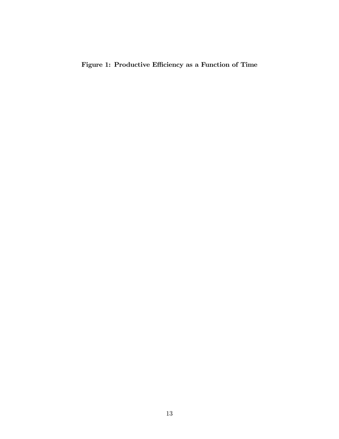Figure 1: Productive Efficiency as a Function of Time